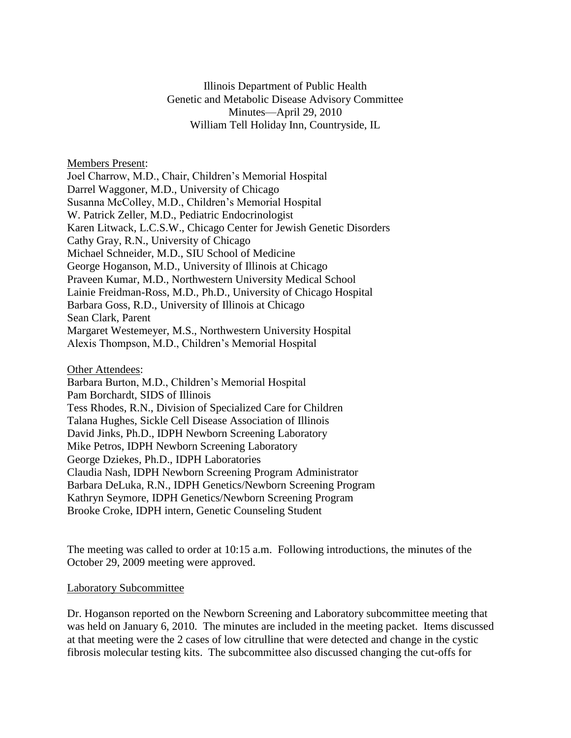Illinois Department of Public Health Genetic and Metabolic Disease Advisory Committee Minutes—April 29, 2010 William Tell Holiday Inn, Countryside, IL

Members Present:

Joel Charrow, M.D., Chair, Children's Memorial Hospital Darrel Waggoner, M.D., University of Chicago Susanna McColley, M.D., Children's Memorial Hospital W. Patrick Zeller, M.D., Pediatric Endocrinologist Karen Litwack, L.C.S.W., Chicago Center for Jewish Genetic Disorders Cathy Gray, R.N., University of Chicago Michael Schneider, M.D., SIU School of Medicine George Hoganson, M.D., University of Illinois at Chicago Praveen Kumar, M.D., Northwestern University Medical School Lainie Freidman-Ross, M.D., Ph.D., University of Chicago Hospital Barbara Goss, R.D., University of Illinois at Chicago Sean Clark, Parent Margaret Westemeyer, M.S., Northwestern University Hospital Alexis Thompson, M.D., Children's Memorial Hospital

#### Other Attendees:

Barbara Burton, M.D., Children's Memorial Hospital Pam Borchardt, SIDS of Illinois Tess Rhodes, R.N., Division of Specialized Care for Children Talana Hughes, Sickle Cell Disease Association of Illinois David Jinks, Ph.D., IDPH Newborn Screening Laboratory Mike Petros, IDPH Newborn Screening Laboratory George Dziekes, Ph.D., IDPH Laboratories Claudia Nash, IDPH Newborn Screening Program Administrator Barbara DeLuka, R.N., IDPH Genetics/Newborn Screening Program Kathryn Seymore, IDPH Genetics/Newborn Screening Program Brooke Croke, IDPH intern, Genetic Counseling Student

The meeting was called to order at 10:15 a.m. Following introductions, the minutes of the October 29, 2009 meeting were approved.

#### Laboratory Subcommittee

Dr. Hoganson reported on the Newborn Screening and Laboratory subcommittee meeting that was held on January 6, 2010. The minutes are included in the meeting packet. Items discussed at that meeting were the 2 cases of low citrulline that were detected and change in the cystic fibrosis molecular testing kits. The subcommittee also discussed changing the cut-offs for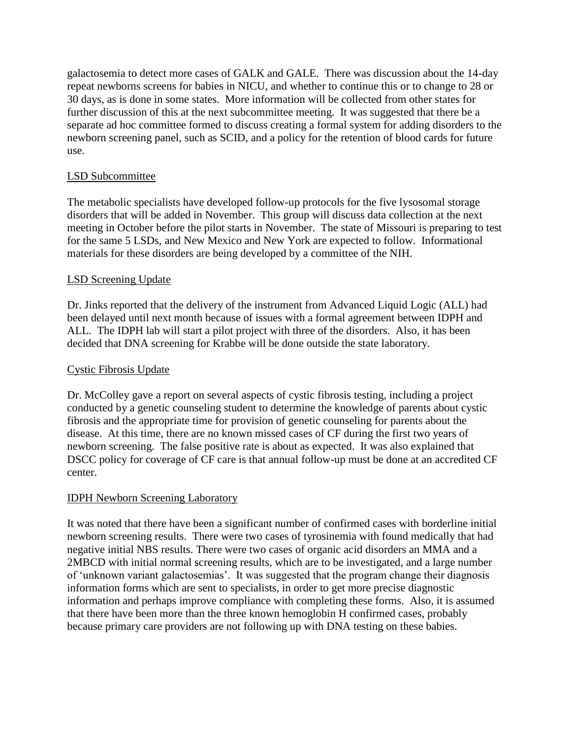galactosemia to detect more cases of GALK and GALE. There was discussion about the 14-day repeat newborns screens for babies in NICU, and whether to continue this or to change to 28 or 30 days, as is done in some states. More information will be collected from other states for further discussion of this at the next subcommittee meeting. It was suggested that there be a separate ad hoc committee formed to discuss creating a formal system for adding disorders to the newborn screening panel, such as SCID, and a policy for the retention of blood cards for future use.

## LSD Subcommittee

The metabolic specialists have developed follow-up protocols for the five lysosomal storage disorders that will be added in November. This group will discuss data collection at the next meeting in October before the pilot starts in November. The state of Missouri is preparing to test for the same 5 LSDs, and New Mexico and New York are expected to follow. Informational materials for these disorders are being developed by a committee of the NIH.

# LSD Screening Update

Dr. Jinks reported that the delivery of the instrument from Advanced Liquid Logic (ALL) had been delayed until next month because of issues with a formal agreement between IDPH and ALL. The IDPH lab will start a pilot project with three of the disorders. Also, it has been decided that DNA screening for Krabbe will be done outside the state laboratory.

## Cystic Fibrosis Update

Dr. McColley gave a report on several aspects of cystic fibrosis testing, including a project conducted by a genetic counseling student to determine the knowledge of parents about cystic fibrosis and the appropriate time for provision of genetic counseling for parents about the disease. At this time, there are no known missed cases of CF during the first two years of newborn screening. The false positive rate is about as expected. It was also explained that DSCC policy for coverage of CF care is that annual follow-up must be done at an accredited CF center.

## IDPH Newborn Screening Laboratory

It was noted that there have been a significant number of confirmed cases with borderline initial newborn screening results. There were two cases of tyrosinemia with found medically that had negative initial NBS results. There were two cases of organic acid disorders an MMA and a 2MBCD with initial normal screening results, which are to be investigated, and a large number of 'unknown variant galactosemias'. It was suggested that the program change their diagnosis information forms which are sent to specialists, in order to get more precise diagnostic information and perhaps improve compliance with completing these forms. Also, it is assumed that there have been more than the three known hemoglobin H confirmed cases, probably because primary care providers are not following up with DNA testing on these babies.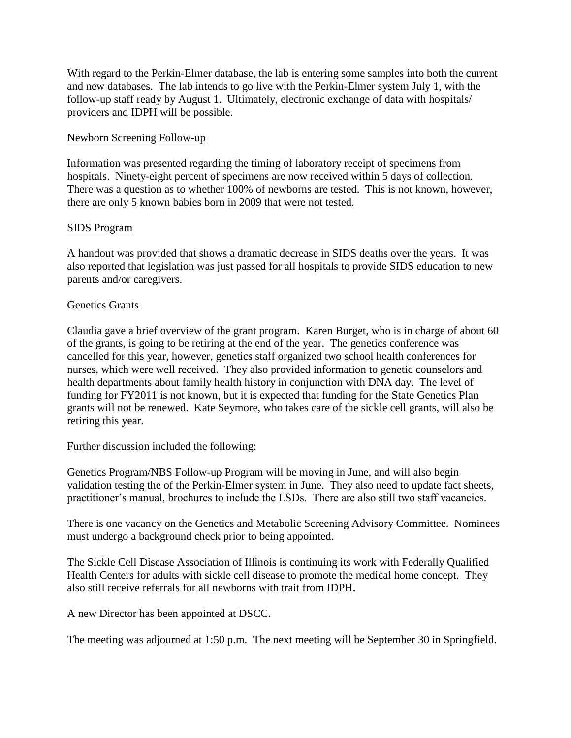With regard to the Perkin-Elmer database, the lab is entering some samples into both the current and new databases. The lab intends to go live with the Perkin-Elmer system July 1, with the follow-up staff ready by August 1. Ultimately, electronic exchange of data with hospitals/ providers and IDPH will be possible.

### Newborn Screening Follow-up

Information was presented regarding the timing of laboratory receipt of specimens from hospitals. Ninety-eight percent of specimens are now received within 5 days of collection. There was a question as to whether 100% of newborns are tested. This is not known, however, there are only 5 known babies born in 2009 that were not tested.

### SIDS Program

A handout was provided that shows a dramatic decrease in SIDS deaths over the years. It was also reported that legislation was just passed for all hospitals to provide SIDS education to new parents and/or caregivers.

### Genetics Grants

Claudia gave a brief overview of the grant program. Karen Burget, who is in charge of about 60 of the grants, is going to be retiring at the end of the year. The genetics conference was cancelled for this year, however, genetics staff organized two school health conferences for nurses, which were well received. They also provided information to genetic counselors and health departments about family health history in conjunction with DNA day. The level of funding for FY2011 is not known, but it is expected that funding for the State Genetics Plan grants will not be renewed. Kate Seymore, who takes care of the sickle cell grants, will also be retiring this year.

Further discussion included the following:

Genetics Program/NBS Follow-up Program will be moving in June, and will also begin validation testing the of the Perkin-Elmer system in June. They also need to update fact sheets, practitioner's manual, brochures to include the LSDs. There are also still two staff vacancies.

There is one vacancy on the Genetics and Metabolic Screening Advisory Committee. Nominees must undergo a background check prior to being appointed.

The Sickle Cell Disease Association of Illinois is continuing its work with Federally Qualified Health Centers for adults with sickle cell disease to promote the medical home concept. They also still receive referrals for all newborns with trait from IDPH.

A new Director has been appointed at DSCC.

The meeting was adjourned at 1:50 p.m. The next meeting will be September 30 in Springfield.